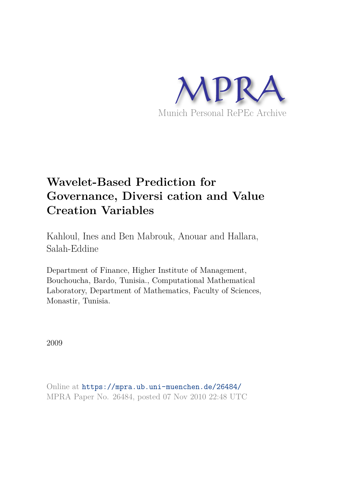

# **Wavelet-Based Prediction for Governance, Diversi cation and Value Creation Variables**

Kahloul, Ines and Ben Mabrouk, Anouar and Hallara, Salah-Eddine

Department of Finance, Higher Institute of Management, Bouchoucha, Bardo, Tunisia., Computational Mathematical Laboratory, Department of Mathematics, Faculty of Sciences, Monastir, Tunisia.

2009

Online at https://mpra.ub.uni-muenchen.de/26484/ MPRA Paper No. 26484, posted 07 Nov 2010 22:48 UTC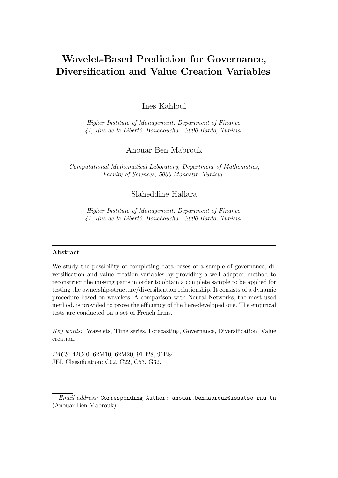## Wavelet-Based Prediction for Governance, Diversification and Value Creation Variables

Ines Kahloul

*Higher Institute of Management, Department of Finance, 41, Rue de la Libert´e, Bouchoucha - 2000 Bardo, Tunisia.*

## Anouar Ben Mabrouk

*Computational Mathematical Laboratory, Department of Mathematics, Faculty of Sciences, 5000 Monastir, Tunisia.*

## Slaheddine Hallara

*Higher Institute of Management, Department of Finance, 41, Rue de la Libert´e, Bouchoucha - 2000 Bardo, Tunisia.*

#### Abstract

We study the possibility of completing data bases of a sample of governance, diversification and value creation variables by providing a well adapted method to reconstruct the missing parts in order to obtain a complete sample to be applied for testing the ownership-structure/diversification relationship. It consists of a dynamic procedure based on wavelets. A comparison with Neural Networks, the most used method, is provided to prove the efficiency of the here-developed one. The empirical tests are conducted on a set of French firms.

*Key words:* Wavelets, Time series, Forecasting, Governance, Diversification, Value creation.

*PACS:* 42C40, 62M10, 62M20, 91B28, 91B84. JEL Classification: C02, C22, C53, G32.

*Email address:* Corresponding Author: anouar.benmabrouk@issatso.rnu.tn (Anouar Ben Mabrouk).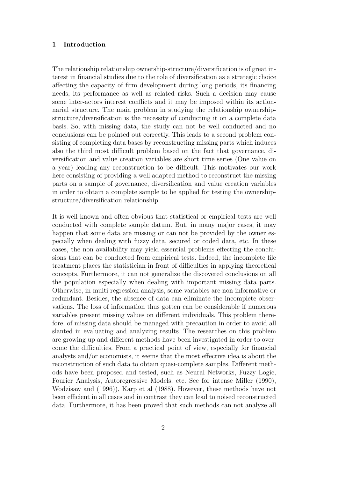#### 1 Introduction

The relationship relationship ownership-structure/diversification is of great interest in financial studies due to the role of diversification as a strategic choice affecting the capacity of firm development during long periods, its financing needs, its performance as well as related risks. Such a decision may cause some inter-actors interest conflicts and it may be imposed within its actionnarial structure. The main problem in studying the relationship ownershipstructure/diversification is the necessity of conducting it on a complete data basis. So, with missing data, the study can not be well conducted and no conclusions can be pointed out correctly. This leads to a second problem consisting of completing data bases by reconstructing missing parts which induces also the third most difficult problem based on the fact that governance, diversification and value creation variables are short time series (One value on a year) leading any reconstruction to be difficult. This motivates our work here consisting of providing a well adapted method to reconstruct the missing parts on a sample of governance, diversification and value creation variables in order to obtain a complete sample to be applied for testing the ownershipstructure/diversification relationship.

It is well known and often obvious that statistical or empirical tests are well conducted with complete sample datum. But, in many major cases, it may happen that some data are missing or can not be provided by the owner especially when dealing with fuzzy data, secured or coded data, etc. In these cases, the non availability may yield essential problems effecting the conclusions that can be conducted from empirical tests. Indeed, the incomplete file treatment places the statistician in front of difficulties in applying theoretical concepts. Furthermore, it can not generalize the discovered conclusions on all the population especially when dealing with important missing data parts. Otherwise, in multi regression analysis, some variables are non informative or redundant. Besides, the absence of data can eliminate the incomplete observations. The loss of information thus gotten can be considerable if numerous variables present missing values on different individuals. This problem therefore, of missing data should be managed with precaution in order to avoid all slanted in evaluating and analyzing results. The researches on this problem are growing up and different methods have been investigated in order to overcome the difficulties. From a practical point of view, especially for financial analysts and/or economists, it seems that the most effective idea is about the reconstruction of such data to obtain quasi-complete samples. Different methods have been proposed and tested, such as Neural Networks, Fuzzy Logic, Fourier Analysis, Autoregressive Models, etc. See for intense Miller (1990), Wodzisaw and (1996)), Karp et al (1988). However, these methods have not been efficient in all cases and in contrast they can lead to noised reconstructed data. Furthermore, it has been proved that such methods can not analyze all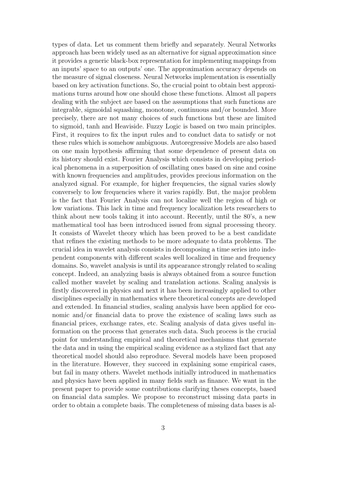types of data. Let us comment them briefly and separately. Neural Networks approach has been widely used as an alternative for signal approximation since it provides a generic black-box representation for implementing mappings from an inputs' space to an outputs' one. The approximation accuracy depends on the measure of signal closeness. Neural Networks implementation is essentially based on key activation functions. So, the crucial point to obtain best approximations turns around how one should chose these functions. Almost all papers dealing with the subject are based on the assumptions that such functions are integrable, sigmoidal squashing, monotone, continuous and/or bounded. More precisely, there are not many choices of such functions but these are limited to sigmoid, tanh and Heaviside. Fuzzy Logic is based on two main principles. First, it requires to fix the input rules and to conduct data to satisfy or not these rules which is somehow ambiguous. Autoregressive Models are also based on one main hypothesis affirming that some dependence of present data on its history should exist. Fourier Analysis which consists in developing periodical phenomena in a superposition of oscillating ones based on sine and cosine with known frequencies and amplitudes, provides precious information on the analyzed signal. For example, for higher frequencies, the signal varies slowly conversely to low frequencies where it varies rapidly. But, the major problem is the fact that Fourier Analysis can not localize well the region of high or low variations. This lack in time and frequency localization lets researchers to think about new tools taking it into account. Recently, until the 80's, a new mathematical tool has been introduced issued from signal processing theory. It consists of Wavelet theory which has been proved to be a best candidate that refines the existing methods to be more adequate to data problems. The crucial idea in wavelet analysis consists in decomposing a time series into independent components with different scales well localized in time and frequency domains. So, wavelet analysis is until its appearance strongly related to scaling concept. Indeed, an analyzing basis is always obtained from a source function called mother wavelet by scaling and translation actions. Scaling analysis is firstly discovered in physics and next it has been increasingly applied to other disciplines especially in mathematics where theoretical concepts are developed and extended. In financial studies, scaling analysis have been applied for economic and/or financial data to prove the existence of scaling laws such as financial prices, exchange rates, etc. Scaling analysis of data gives useful information on the process that generates such data. Such process is the crucial point for understanding empirical and theoretical mechanisms that generate the data and in using the empirical scaling evidence as a stylized fact that any theoretical model should also reproduce. Several models have been proposed in the literature. However, they succeed in explaining some empirical cases, but fail in many others. Wavelet methods initially introduced in mathematics and physics have been applied in many fields such as finance. We want in the present paper to provide some contributions clarifying theses concepts, based on financial data samples. We propose to reconstruct missing data parts in order to obtain a complete basis. The completeness of missing data bases is al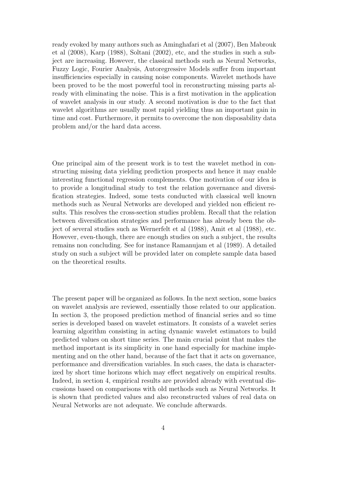ready evoked by many authors such as Aminghafari et al (2007), Ben Mabrouk et al (2008), Karp (1988), Soltani (2002), etc, and the studies in such a subject are increasing. However, the classical methods such as Neural Networks, Fuzzy Logic, Fourier Analysis, Autoregressive Models suffer from important insufficiencies especially in causing noise components. Wavelet methods have been proved to be the most powerful tool in reconstructing missing parts already with eliminating the noise. This is a first motivation in the application of wavelet analysis in our study. A second motivation is due to the fact that wavelet algorithms are usually most rapid yielding thus an important gain in time and cost. Furthermore, it permits to overcome the non disposability data problem and/or the hard data access.

One principal aim of the present work is to test the wavelet method in constructing missing data yielding prediction prospects and hence it may enable interesting functional regression complements. One motivation of our idea is to provide a longitudinal study to test the relation governance and diversification strategies. Indeed, some tests conducted with classical well known methods such as Neural Networks are developed and yielded non efficient results. This resolves the cross-section studies problem. Recall that the relation between diversification strategies and performance has already been the object of several studies such as Wernerfelt et al (1988), Amit et al (1988), etc. However, even-though, there are enough studies on such a subject, the results remains non concluding. See for instance Ramanujam et al (1989). A detailed study on such a subject will be provided later on complete sample data based on the theoretical results.

The present paper will be organized as follows. In the next section, some basics on wavelet analysis are reviewed, essentially those related to our application. In section 3, the proposed prediction method of financial series and so time series is developed based on wavelet estimators. It consists of a wavelet series learning algorithm consisting in acting dynamic wavelet estimators to build predicted values on short time series. The main crucial point that makes the method important is its simplicity in one hand especially for machine implementing and on the other hand, because of the fact that it acts on governance, performance and diversification variables. In such cases, the data is characterized by short time horizons which may effect negatively on empirical results. Indeed, in section 4, empirical results are provided already with eventual discussions based on comparisons with old methods such as Neural Networks. It is shown that predicted values and also reconstructed values of real data on Neural Networks are not adequate. We conclude afterwards.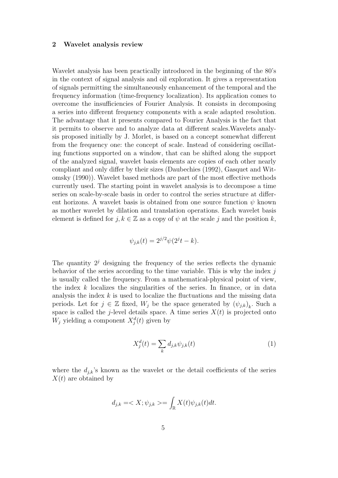#### 2 Wavelet analysis review

Wavelet analysis has been practically introduced in the beginning of the 80's in the context of signal analysis and oil exploration. It gives a representation of signals permitting the simultaneously enhancement of the temporal and the frequency information (time-frequency localization). Its application comes to overcome the insufficiencies of Fourier Analysis. It consists in decomposing a series into different frequency components with a scale adapted resolution. The advantage that it presents compared to Fourier Analysis is the fact that it permits to observe and to analyze data at different scales.Wavelets analysis proposed initially by J. Morlet, is based on a concept somewhat different from the frequency one: the concept of scale. Instead of considering oscillating functions supported on a window, that can be shifted along the support of the analyzed signal, wavelet basis elements are copies of each other nearly compliant and only differ by their sizes (Daubechies (1992), Gasquet and Witomsky (1990)). Wavelet based methods are part of the most effective methods currently used. The starting point in wavelet analysis is to decompose a time series on scale-by-scale basis in order to control the series structure at different horizons. A wavelet basis is obtained from one source function  $\psi$  known as mother wavelet by dilation and translation operations. Each wavelet basis element is defined for  $j, k \in \mathbb{Z}$  as a copy of  $\psi$  at the scale j and the position k,

$$
\psi_{j,k}(t) = 2^{j/2}\psi(2^{j}t - k).
$$

The quantity  $2<sup>j</sup>$  designing the frequency of the series reflects the dynamic behavior of the series according to the time variable. This is why the index  $j$ is usually called the frequency. From a mathematical-physical point of view, the index  $k$  localizes the singularities of the series. In finance, or in data analysis the index  $k$  is used to localize the fluctuations and the missing data periods. Let for  $j \in \mathbb{Z}$  fixed,  $W_j$  be the space generated by  $(\psi_{j,k})_k$ . Such a space is called the j-level details space. A time series  $X(t)$  is projected onto  $W_j$  yielding a component  $X_j^d(t)$  given by

$$
X_j^d(t) = \sum_k d_{j,k} \psi_{j,k}(t)
$$
\n(1)

where the  $d_{ik}$ 's known as the wavelet or the detail coefficients of the series  $X(t)$  are obtained by

$$
d_{j,k} = \langle X; \psi_{j,k} \rangle = \int_{\mathbb{R}} X(t) \psi_{j,k}(t) dt.
$$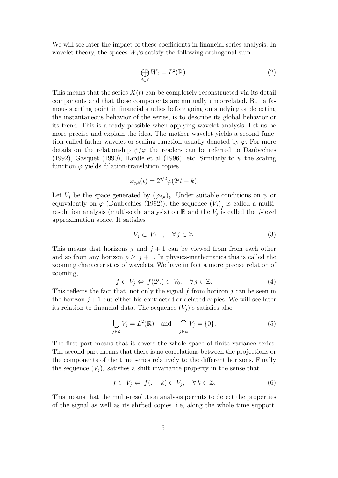We will see later the impact of these coefficients in financial series analysis. In wavelet theory, the spaces  $W_j$ 's satisfy the following orthogonal sum.

$$
\bigoplus_{j\in\mathbb{Z}}^{\perp}W_j=L^2(\mathbb{R}).\tag{2}
$$

This means that the series  $X(t)$  can be completely reconstructed via its detail components and that these components are mutually uncorrelated. But a famous starting point in financial studies before going on studying or detecting the instantaneous behavior of the series, is to describe its global behavior or its trend. This is already possible when applying wavelet analysis. Let us be more precise and explain the idea. The mother wavelet yields a second function called father wavelet or scaling function usually denoted by  $\varphi$ . For more details on the relationship  $\psi/\varphi$  the readers can be referred to Daubechies (1992), Gasquet (1990), Hardle et al (1996), etc. Similarly to  $\psi$  the scaling function  $\varphi$  yields dilation-translation copies

$$
\varphi_{j,k}(t) = 2^{j/2} \varphi(2^j t - k).
$$

Let  $V_j$  be the space generated by  $(\varphi_{j,k})_k$ . Under suitable conditions on  $\psi$  or equivalently on  $\varphi$  (Daubechies (1992)), the sequence  $(V_j)_j$  is called a multiresolution analysis (multi-scale analysis) on  $\mathbb R$  and the  $V_j$  is called the j-level approximation space. It satisfies

$$
V_j \subset V_{j+1}, \quad \forall \, j \in \mathbb{Z}.\tag{3}
$$

This means that horizons j and  $j + 1$  can be viewed from from each other and so from any horizon  $p \geq j + 1$ . In physics-mathematics this is called the zooming characteristics of wavelets. We have in fact a more precise relation of zooming,

$$
f \in V_j \Leftrightarrow f(2^j.) \in V_0, \quad \forall j \in \mathbb{Z}.
$$
 (4)

This reflects the fact that, not only the signal f from horizon  $j$  can be seen in the horizon  $j+1$  but either his contracted or delated copies. We will see later its relation to financial data. The sequence  $(V_i)$ 's satisfies also

$$
\overline{\bigcup_{j\in\mathbb{Z}}V_j} = L^2(\mathbb{R}) \quad \text{and} \quad \bigcap_{j\in\mathbb{Z}}V_j = \{0\}.
$$
 (5)

The first part means that it covers the whole space of finite variance series. The second part means that there is no correlations between the projections or the components of the time series relatively to the different horizons. Finally the sequence  $(V_j)_j$  satisfies a shift invariance property in the sense that

$$
f \in V_j \Leftrightarrow f(. - k) \in V_j, \quad \forall k \in \mathbb{Z}.
$$
 (6)

This means that the multi-resolution analysis permits to detect the properties of the signal as well as its shifted copies. i.e, along the whole time support.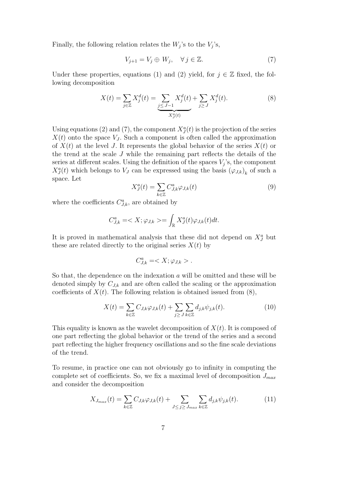Finally, the following relation relates the  $W_j$ 's to the  $V_j$ 's,

$$
V_{j+1} = V_j \oplus W_j, \quad \forall j \in \mathbb{Z}.\tag{7}
$$

Under these properties, equations (1) and (2) yield, for  $j \in \mathbb{Z}$  fixed, the following decomposition

$$
X(t) = \sum_{j \in \mathbb{Z}} X_j^d(t) = \underbrace{\sum_{j \le J-1} X_j^d(t)}_{X_j^a(t)} + \sum_{j \ge J} X_j^d(t). \tag{8}
$$

Using equations (2) and (7), the component  $X_{J}^{a}(t)$  is the projection of the series  $X(t)$  onto the space  $V_J$ . Such a component is often called the approximation of  $X(t)$  at the level J. It represents the global behavior of the series  $X(t)$  or the trend at the scale J while the remaining part reflects the details of the series at different scales. Using the definition of the spaces  $V_j$ 's, the component  $X_J^a(t)$  which belongs to  $V_J$  can be expressed using the basis  $(\varphi_{J,k})_k$  of such a space. Let

$$
X_J^a(t) = \sum_{k \in \mathbb{Z}} C_{J,k}^a \varphi_{J,k}(t)
$$
\n(9)

where the coefficients  $C_{J,k}^a$ , are obtained by

$$
C_{J,k}^a = \langle X; \varphi_{J,k} \rangle = \int_{\mathbb{R}} X_J^a(t) \varphi_{J,k}(t) dt.
$$

It is proved in mathematical analysis that these did not depend on  $X_J^a$  but these are related directly to the original series  $X(t)$  by

$$
C^a_{J,k}=.
$$

So that, the dependence on the indexation  $a$  will be omitted and these will be denoted simply by  $C_{J,k}$  and are often called the scaling or the approximation coefficients of  $X(t)$ . The following relation is obtained issued from  $(8)$ ,

$$
X(t) = \sum_{k \in \mathbb{Z}} C_{J,k} \varphi_{J,k}(t) + \sum_{j \ge J} \sum_{k \in \mathbb{Z}} d_{j,k} \psi_{j,k}(t).
$$
 (10)

This equality is known as the wavelet decomposition of  $X(t)$ . It is composed of one part reflecting the global behavior or the trend of the series and a second part reflecting the higher frequency oscillations and so the fine scale deviations of the trend.

To resume, in practice one can not obviously go to infinity in computing the complete set of coefficients. So, we fix a maximal level of decomposition  $J_{max}$ and consider the decomposition

$$
X_{J_{max}}(t) = \sum_{k \in \mathbb{Z}} C_{J,k} \varphi_{J,k}(t) + \sum_{J \le j \ge J_{max}} \sum_{k \in \mathbb{Z}} d_{j,k} \psi_{j,k}(t).
$$
 (11)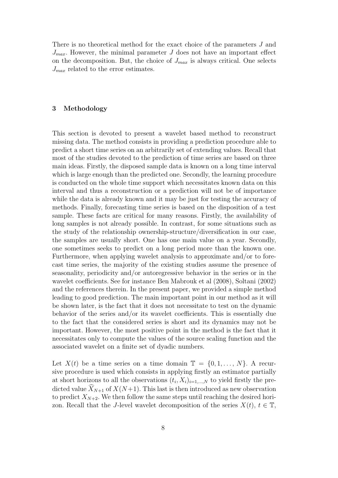There is no theoretical method for the exact choice of the parameters J and  $J_{max}$ . However, the minimal parameter J does not have an important effect on the decomposition. But, the choice of  $J_{max}$  is always critical. One selects  $J_{max}$  related to the error estimates.

#### 3 Methodology

This section is devoted to present a wavelet based method to reconstruct missing data. The method consists in providing a prediction procedure able to predict a short time series on an arbitrarily set of extending values. Recall that most of the studies devoted to the prediction of time series are based on three main ideas. Firstly, the disposed sample data is known on a long time interval which is large enough than the predicted one. Secondly, the learning procedure is conducted on the whole time support which necessitates known data on this interval and thus a reconstruction or a prediction will not be of importance while the data is already known and it may be just for testing the accuracy of methods. Finally, forecasting time series is based on the disposition of a test sample. These facts are critical for many reasons. Firstly, the availability of long samples is not already possible. In contrast, for some situations such as the study of the relationship ownership-structure/diversification in our case, the samples are usually short. One has one main value on a year. Secondly, one sometimes seeks to predict on a long period more than the known one. Furthermore, when applying wavelet analysis to approximate and/or to forecast time series, the majority of the existing studies assume the presence of seasonality, periodicity and/or autoregressive behavior in the series or in the wavelet coefficients. See for instance Ben Mabrouk et al (2008), Soltani (2002) and the references therein. In the present paper, we provided a simple method leading to good prediction. The main important point in our method as it will be shown later, is the fact that it does not necessitate to test on the dynamic behavior of the series and/or its wavelet coefficients. This is essentially due to the fact that the considered series is short and its dynamics may not be important. However, the most positive point in the method is the fact that it necessitates only to compute the values of the source scaling function and the associated wavelet on a finite set of dyadic numbers.

Let  $X(t)$  be a time series on a time domain  $\mathbb{T} = \{0, 1, \ldots, N\}$ . A recursive procedure is used which consists in applying firstly an estimator partially at short horizons to all the observations  $(t_i, X_i)_{i=1,\dots,N}$  to yield firstly the predicted value  $\widehat{X}_{N+1}$  of  $X(N+1)$ . This last is then introduced as new observation to predict  $X_{N+2}$ . We then follow the same steps until reaching the desired horizon. Recall that the J-level wavelet decomposition of the series  $X(t)$ ,  $t \in \mathbb{T}$ ,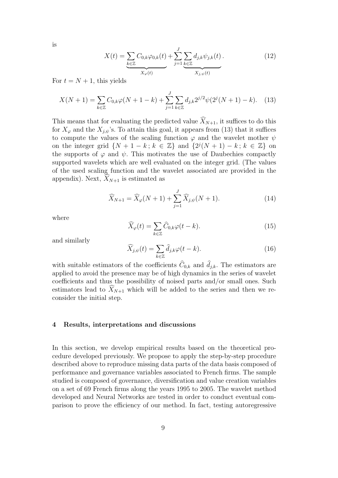is

$$
X(t) = \underbrace{\sum_{k \in \mathbb{Z}} C_{0,k} \varphi_{0,k}(t)}_{X_{\varphi}(t)} + \underbrace{\sum_{j=1}^{J} \sum_{k \in \mathbb{Z}} d_{j,k} \psi_{j,k}(t)}_{X_{j,\psi}(t)}.
$$
 (12)

For  $t = N + 1$ , this yields

$$
X(N+1) = \sum_{k \in \mathbb{Z}} C_{0,k} \varphi(N+1-k) + \sum_{j=1}^{J} \sum_{k \in \mathbb{Z}} d_{j,k} 2^{j/2} \psi(2^j(N+1)-k). \tag{13}
$$

This means that for evaluating the predicted value  $\widehat{X}_{N+1}$ , it suffices to do this for  $X_{\varphi}$  and the  $X_{j,\psi}$ 's. To attain this goal, it appears from (13) that it suffices to compute the values of the scaling function  $\varphi$  and the wavelet mother  $\psi$ on the integer grid  $\{N+1-k; k \in \mathbb{Z}\}\$  and  $\{2^{j}(N+1)-k; k \in \mathbb{Z}\}\$  on the supports of  $\varphi$  and  $\psi$ . This motivates the use of Daubechies compactly supported wavelets which are well evaluated on the integer grid. (The values of the used scaling function and the wavelet associated are provided in the appendix). Next,  $\widehat{X}_{N+1}$  is estimated as

$$
\widehat{X}_{N+1} = \widehat{X}_{\varphi}(N+1) + \sum_{j=1}^{J} \widehat{X}_{j,\psi}(N+1).
$$
 (14)

where

$$
\widehat{X}_{\varphi}(t) = \sum_{k \in \mathbb{Z}} \widehat{C}_{0,k} \varphi(t - k). \tag{15}
$$

and similarly

$$
\widehat{X}_{j,\psi}(t) = \sum_{k \in \mathbb{Z}} \widehat{d}_{j,k} \varphi(t - k).
$$
\n(16)

with suitable estimators of the coefficients  $C_{0,k}$  and  $d_{j,k}$ . The estimators are applied to avoid the presence may be of high dynamics in the series of wavelet coefficients and thus the possibility of noised parts and/or small ones. Such estimators lead to  $\widehat{X}_{N+1}$  which will be added to the series and then we reconsider the initial step.

#### 4 Results, interpretations and discussions

In this section, we develop empirical results based on the theoretical procedure developed previously. We propose to apply the step-by-step procedure described above to reproduce missing data parts of the data basis composed of performance and governance variables associated to French firms. The sample studied is composed of governance, diversification and value creation variables on a set of 69 French firms along the years 1995 to 2005. The wavelet method developed and Neural Networks are tested in order to conduct eventual comparison to prove the efficiency of our method. In fact, testing autoregressive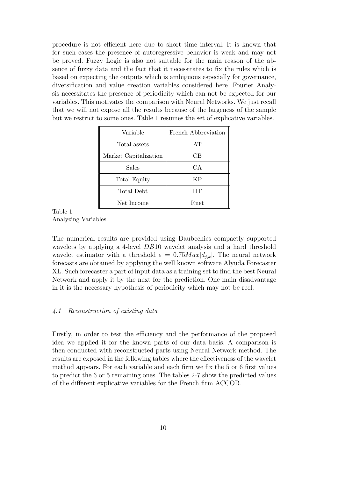procedure is not efficient here due to short time interval. It is known that for such cases the presence of autoregressive behavior is weak and may not be proved. Fuzzy Logic is also not suitable for the main reason of the absence of fuzzy data and the fact that it necessitates to fix the rules which is based on expecting the outputs which is ambiguous especially for governance, diversification and value creation variables considered here. Fourier Analysis necessitates the presence of periodicity which can not be expected for our variables. This motivates the comparison with Neural Networks. We just recall that we will not expose all the results because of the largeness of the sample but we restrict to some ones. Table 1 resumes the set of explicative variables.

| Variable              | French Abbreviation |
|-----------------------|---------------------|
| Total assets          | AT                  |
| Market Capitalization | CB                  |
| Sales                 | CA.                 |
| Total Equity          | KP                  |
| Total Debt            | DТ                  |
| Net Income            | Rnet                |

Table 1 Analyzing Variables

The numerical results are provided using Daubechies compactly supported wavelets by applying a 4-level DB10 wavelet analysis and a hard threshold wavelet estimator with a threshold  $\varepsilon = 0.75$   $Max|d_{j,k}|$ . The neural network forecasts are obtained by applying the well known software Alyuda Forecaster XL. Such forecaster a part of input data as a training set to find the best Neural Network and apply it by the next for the prediction. One main disadvantage in it is the necessary hypothesis of periodicity which may not be reel.

#### 4.1 Reconstruction of existing data

Firstly, in order to test the efficiency and the performance of the proposed idea we applied it for the known parts of our data basis. A comparison is then conducted with reconstructed parts using Neural Network method. The results are exposed in the following tables where the effectiveness of the wavelet method appears. For each variable and each firm we fix the 5 or 6 first values to predict the 6 or 5 remaining ones. The tables 2-7 show the predicted values of the different explicative variables for the French firm ACCOR.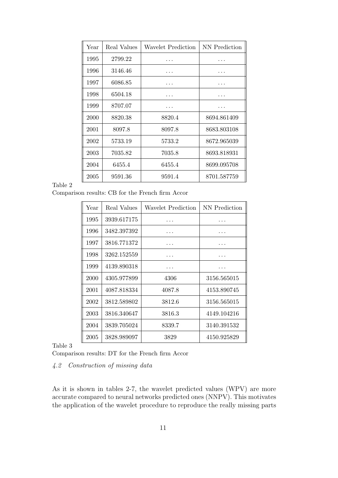| Year | Real Values | Wavelet Prediction | NN Prediction |
|------|-------------|--------------------|---------------|
| 1995 | 2799.22     |                    |               |
| 1996 | 3146.46     |                    |               |
| 1997 | 6086.85     |                    |               |
| 1998 | 6504.18     |                    |               |
| 1999 | 8707.07     |                    |               |
| 2000 | 8820.38     | 8820.4             | 8694.861409   |
| 2001 | 8097.8      | 8097.8             | 8683.803108   |
| 2002 | 5733.19     | 5733.2             | 8672.965039   |
| 2003 | 7035.82     | 7035.8             | 8693.818931   |
| 2004 | 6455.4      | 6455.4             | 8699.095708   |
| 2005 | 9591.36     | 9591.4             | 8701.587759   |

Comparison results: CB for the French firm Accor

| Year | Real Values | Wavelet Prediction | NN Prediction |
|------|-------------|--------------------|---------------|
| 1995 | 3939.617175 |                    |               |
| 1996 | 3482.397392 |                    |               |
| 1997 | 3816.771372 |                    |               |
| 1998 | 3262.152559 |                    |               |
| 1999 | 4139.890318 |                    |               |
| 2000 | 4305.977899 | 4306               | 3156.565015   |
| 2001 | 4087.818334 | 4087.8             | 4153.890745   |
| 2002 | 3812.589802 | 3812.6             | 3156.565015   |
| 2003 | 3816.340647 | 3816.3             | 4149.104216   |
| 2004 | 3839.705024 | 8339.7             | 3140.391532   |
| 2005 | 3828.989097 | 3829               | 4150.925829   |

Table 3

Comparison results: DT for the French firm Accor

## 4.2 Construction of missing data

As it is shown in tables 2-7, the wavelet predicted values (WPV) are more accurate compared to neural networks predicted ones (NNPV). This motivates the application of the wavelet procedure to reproduce the really missing parts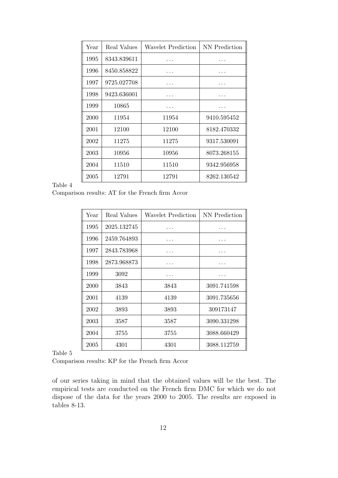| Year | Real Values | Wavelet Prediction | NN Prediction |
|------|-------------|--------------------|---------------|
| 1995 | 8343.839611 |                    |               |
| 1996 | 8450.858822 |                    |               |
| 1997 | 9725.027708 |                    |               |
| 1998 | 9423.636001 |                    |               |
| 1999 | 10865       |                    |               |
| 2000 | 11954       | 11954              | 9410.595452   |
| 2001 | 12100       | 12100              | 8182.470332   |
| 2002 | 11275       | 11275              | 9317.530091   |
| 2003 | 10956       | 10956              | 8073.268155   |
| 2004 | 11510       | 11510              | 9342.956958   |
| 2005 | 12791       | 12791              | 8262.130542   |

Comparison results: AT for the French firm Accor

| Year | Real Values | Wavelet Prediction | NN Prediction |
|------|-------------|--------------------|---------------|
| 1995 | 2025.132745 |                    |               |
| 1996 | 2459.764893 |                    |               |
| 1997 | 2843.783968 |                    |               |
| 1998 | 2873.968873 |                    |               |
| 1999 | 3092        |                    |               |
| 2000 | 3843        | 3843               | 3091.741598   |
| 2001 | 4139        | 4139               | 3091.735656   |
| 2002 | 3893        | 3893               | 309173147     |
| 2003 | 3587        | 3587               | 3090.331298   |
| 2004 | 3755        | 3755               | 3088.660429   |
| 2005 | 4301        | 4301               | 3088.112759   |

Table 5

Comparison results: KP for the French firm Accor

of our series taking in mind that the obtained values will be the best. The empirical tests are conducted on the French firm DMC for which we do not dispose of the data for the years 2000 to 2005. The results are exposed in tables 8-13.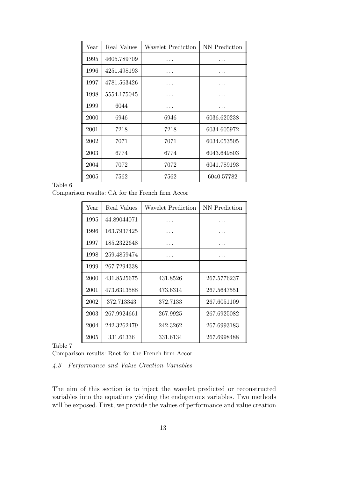| Year | Real Values | Wavelet Prediction | NN Prediction |
|------|-------------|--------------------|---------------|
| 1995 | 4605.789709 |                    |               |
| 1996 | 4251.498193 |                    |               |
| 1997 | 4781.563426 |                    |               |
| 1998 | 5554.175045 |                    |               |
| 1999 | 6044        |                    |               |
| 2000 | 6946        | 6946               | 6036.620238   |
| 2001 | 7218        | 7218               | 6034.605972   |
| 2002 | 7071        | 7071               | 6034.053505   |
| 2003 | 6774        | 6774               | 6043.649803   |
| 2004 | 7072        | 7072               | 6041.789193   |
| 2005 | 7562        | 7562               | 6040.57782    |

Comparison results: CA for the French firm Accor

| Year | Real Values | Wavelet Prediction | NN Prediction |
|------|-------------|--------------------|---------------|
| 1995 | 44.89044071 |                    |               |
| 1996 | 163.7937425 |                    |               |
| 1997 | 185.2322648 |                    |               |
| 1998 | 259.4859474 |                    |               |
| 1999 | 267.7294338 |                    |               |
| 2000 | 431.8525675 | 431.8526           | 267.5776237   |
| 2001 | 473.6313588 | 473.6314           | 267.5647551   |
| 2002 | 372.713343  | 372.7133           | 267.6051109   |
| 2003 | 267.9924661 | 267.9925           | 267.6925082   |
| 2004 | 242.3262479 | 242.3262           | 267.6993183   |
| 2005 | 331.61336   | 331.6134           | 267.6998488   |

Table 7

Comparison results: Rnet for the French firm Accor

## 4.3 Performance and Value Creation Variables

The aim of this section is to inject the wavelet predicted or reconstructed variables into the equations yielding the endogenous variables. Two methods will be exposed. First, we provide the values of performance and value creation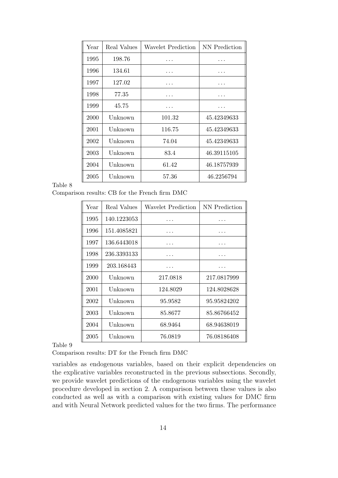| Year | Real Values | Wavelet Prediction | NN Prediction |
|------|-------------|--------------------|---------------|
| 1995 | 198.76      |                    |               |
| 1996 | 134.61      |                    |               |
| 1997 | 127.02      |                    |               |
| 1998 | 77.35       |                    |               |
| 1999 | 45.75       |                    |               |
| 2000 | Unknown     | 101.32             | 45.42349633   |
| 2001 | Unknown     | 116.75             | 45.42349633   |
| 2002 | Unknown     | 74.04              | 45.42349633   |
| 2003 | Unknown     | 83.4               | 46.39115105   |
| 2004 | Unknown     | 61.42              | 46.18757939   |
| 2005 | Unknown     | 57.36              | 46.2256794    |

Comparison results: CB for the French firm DMC

| Year | Real Values | Wavelet Prediction | NN Prediction |
|------|-------------|--------------------|---------------|
| 1995 | 140.1223053 |                    |               |
| 1996 | 151.4085821 |                    |               |
| 1997 | 136.6443018 |                    |               |
| 1998 | 236.3393133 |                    |               |
| 1999 | 203.168443  |                    |               |
| 2000 | Unknown     | 217.0818           | 217.0817999   |
| 2001 | Unknown     | 124.8029           | 124.8028628   |
| 2002 | Unknown     | 95.9582            | 95.95824202   |
| 2003 | Unknown     | 85.8677            | 85.86766452   |
| 2004 | Unknown     | 68.9464            | 68.94638019   |
| 2005 | Unknown     | 76.0819            | 76.08186408   |
|      |             |                    |               |

Table 9

Comparison results: DT for the French firm DMC

variables as endogenous variables, based on their explicit dependencies on the explicative variables reconstructed in the previous subsections. Secondly, we provide wavelet predictions of the endogenous variables using the wavelet procedure developed in section 2. A comparison between these values is also conducted as well as with a comparison with existing values for DMC firm and with Neural Network predicted values for the two firms. The performance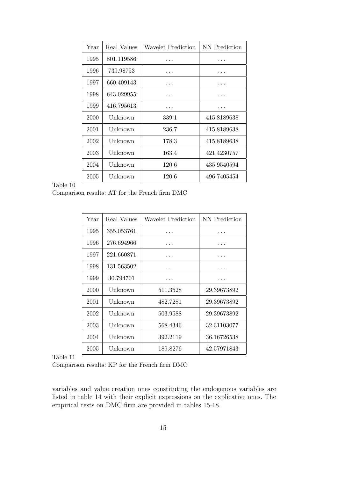| Year | Real Values | Wavelet Prediction | NN Prediction |
|------|-------------|--------------------|---------------|
| 1995 | 801.119586  |                    | .             |
| 1996 | 739.98753   |                    |               |
| 1997 | 660.409143  |                    |               |
| 1998 | 643.029955  |                    |               |
| 1999 | 416.795613  |                    |               |
| 2000 | Unknown     | 339.1              | 415.8189638   |
| 2001 | Unknown     | 236.7              | 415.8189638   |
| 2002 | Unknown     | 178.3              | 415.8189638   |
| 2003 | Unknown     | 163.4              | 421.4230757   |
| 2004 | Unknown     | 120.6              | 435.9540594   |
| 2005 | Unknown     | 120.6              | 496.7405454   |

Comparison results: AT for the French firm DMC

| Year | Real Values | Wavelet Prediction | NN Prediction |
|------|-------------|--------------------|---------------|
| 1995 | 355.053761  |                    |               |
| 1996 | 276.694966  |                    |               |
| 1997 | 221.660871  |                    |               |
| 1998 | 131.563502  |                    |               |
| 1999 | 30.794701   |                    |               |
| 2000 | Unknown     | 511.3528           | 29.39673892   |
| 2001 | Unknown     | 482.7281           | 29.39673892   |
| 2002 | Unknown     | 503.9588           | 29.39673892   |
| 2003 | Unknown     | 568.4346           | 32.31103077   |
| 2004 | Unknown     | 392.2119           | 36.16726538   |
| 2005 | Unknown     | 189.8276           | 42.57971843   |

Table 11

Comparison results: KP for the French firm DMC

variables and value creation ones constituting the endogenous variables are listed in table 14 with their explicit expressions on the explicative ones. The empirical tests on DMC firm are provided in tables 15-18.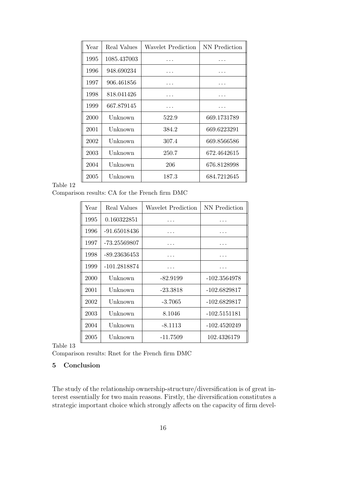| Year | Real Values | Wavelet Prediction | NN Prediction |
|------|-------------|--------------------|---------------|
| 1995 | 1085.437003 |                    |               |
| 1996 | 948.690234  |                    |               |
| 1997 | 906.461856  |                    |               |
| 1998 | 818.041426  |                    |               |
| 1999 | 667.879145  |                    |               |
| 2000 | Unknown     | 522.9              | 669.1731789   |
| 2001 | Unknown     | 384.2              | 669.6223291   |
| 2002 | Unknown     | 307.4              | 669.8566586   |
| 2003 | Unknown     | 250.7              | 672.4642615   |
| 2004 | Unknown     | 206                | 676.8128998   |
| 2005 | Unknown     | 187.3              | 684.7212645   |

Comparison results: CA for the French firm DMC

| Year | Real Values    | Wavelet Prediction | NN Prediction  |
|------|----------------|--------------------|----------------|
| 1995 | 0.160322851    |                    |                |
| 1996 | $-91.65018436$ |                    |                |
| 1997 | -73.25569807   |                    |                |
| 1998 | -89.23636453   |                    |                |
| 1999 | -101.2818874   |                    |                |
| 2000 | Unknown        | -82.9199           | -102.3564978   |
| 2001 | Unknown        | -23.3818           | -102.6829817   |
| 2002 | Unknown        | $-3.7065$          | -102.6829817   |
| 2003 | Unknown        | 8.1046             | $-102.5151181$ |
| 2004 | Unknown        | $-8.1113$          | $-102.4520249$ |
| 2005 | Unknown        | -11.7509           | 102.4326179    |

Table 13

Comparison results: Rnet for the French firm DMC

## 5 Conclusion

The study of the relationship ownership-structure/diversification is of great interest essentially for two main reasons. Firstly, the diversification constitutes a strategic important choice which strongly affects on the capacity of firm devel-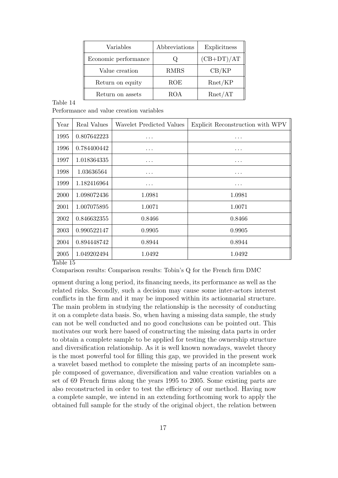| Variables            | Abbreviations | Explicitness |
|----------------------|---------------|--------------|
| Economic performance |               | $(CB+DT)/AT$ |
| Value creation       | <b>RMRS</b>   | CB/KP        |
| Return on equity     | <b>ROE</b>    | Rnet/KP      |
| Return on assets     | <b>ROA</b>    | Rnet/AT      |

Performance and value creation variables

| Year                   | Real Values | Wavelet Predicted Values | Explicit Reconstruction with WPV |
|------------------------|-------------|--------------------------|----------------------------------|
| 1995                   | 0.807642223 | $\cdots$                 | .                                |
| 1996                   | 0.784400442 | $\cdots$                 | $\cdots$                         |
| 1997                   | 1.018364335 | $\cdots$                 | $\cdots$                         |
| 1998                   | 1.03636564  | $\cdots$                 | .                                |
| 1999                   | 1.182416964 | $\cdots$                 | $\cdots$                         |
| 2000                   | 1.098072436 | 1.0981                   | 1.0981                           |
| 2001                   | 1.007075895 | 1.0071                   | 1.0071                           |
| 2002                   | 0.846632355 | 0.8466                   | 0.8466                           |
| 2003                   | 0.990522147 | 0.9905                   | 0.9905                           |
| 2004                   | 0.894448742 | 0.8944                   | 0.8944                           |
| 2005<br>— 11<br>$\sim$ | 1.049202494 | 1.0492                   | 1.0492                           |

Table 15

Comparison results: Comparison results: Tobin's Q for the French firm DMC

opment during a long period, its financing needs, its performance as well as the related risks. Secondly, such a decision may cause some inter-actors interest conflicts in the firm and it may be imposed within its actionnarial structure. The main problem in studying the relationship is the necessity of conducting it on a complete data basis. So, when having a missing data sample, the study can not be well conducted and no good conclusions can be pointed out. This motivates our work here based of constructing the missing data parts in order to obtain a complete sample to be applied for testing the ownership structure and diversification relationship. As it is well known nowadays, wavelet theory is the most powerful tool for filling this gap, we provided in the present work a wavelet based method to complete the missing parts of an incomplete sample composed of governance, diversification and value creation variables on a set of 69 French firms along the years 1995 to 2005. Some existing parts are also reconstructed in order to test the efficiency of our method. Having now a complete sample, we intend in an extending forthcoming work to apply the obtained full sample for the study of the original object, the relation between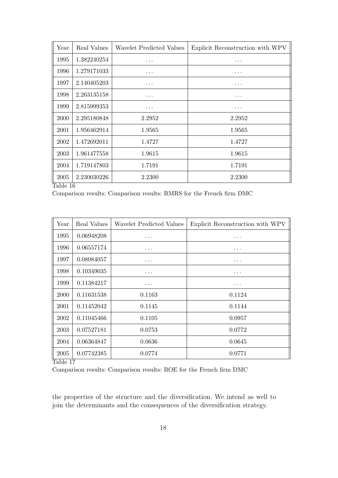| Year                | Real Values | Wavelet Predicted Values | Explicit Reconstruction with WPV |
|---------------------|-------------|--------------------------|----------------------------------|
| 1995                | 1.382240254 | $\cdots$                 | $\cdots$                         |
| 1996                | 1.279171033 | $\cdots$                 | $\cdots$                         |
| 1997                | 2.140405203 | $\cdots$                 | $\cdots$                         |
| 1998                | 2.263135158 | .                        | .                                |
| 1999                | 2.815999353 | .                        | $\cdots$                         |
| 2000                | 2.295180848 | 2.2952                   | 2.2952                           |
| 2001                | 1.956462914 | 1.9565                   | 1.9565                           |
| 2002                | 1.472692011 | 1.4727                   | 1.4727                           |
| 2003                | 1.961477558 | 1.9615                   | 1.9615                           |
| 2004                | 1.719147803 | 1.7191                   | 1.7191                           |
| 2005<br>$T = 11.40$ | 2.230030226 | 2.2300                   | 2.2300                           |

Comparison results: Comparison results: RMRS for the French firm DMC

| Year     | Real Values | Wavelet Predicted Values | Explicit Reconstruction with WPV |
|----------|-------------|--------------------------|----------------------------------|
| 1995     | 0.06948208  | .                        | .                                |
| 1996     | 0.06557174  | $\cdots$                 | $\cdots$                         |
| 1997     | 0.08084057  | $\cdots$                 | $\cdots$                         |
| 1998     | 0.10349035  | .                        | $\cdots$                         |
| 1999     | 0.11384217  | .                        | .                                |
| 2000     | 0.11631538  | 0.1163                   | 0.1124                           |
| 2001     | 0.11452042  | 0.1145                   | 0.1144                           |
| 2002     | 0.11045466  | 0.1105                   | 0.0957                           |
| 2003     | 0.07527181  | 0.0753                   | 0.0772                           |
| 2004     | 0.06364847  | 0.0636                   | 0.0645                           |
| 2005     | 0.07742385  | 0.0774                   | 0.0771                           |
| Table 17 |             |                          |                                  |

Comparison results: Comparison results: ROE for the French firm DMC

the properties of the structure and the diversification. We intend as well to join the determinants and the consequences of the diversification strategy.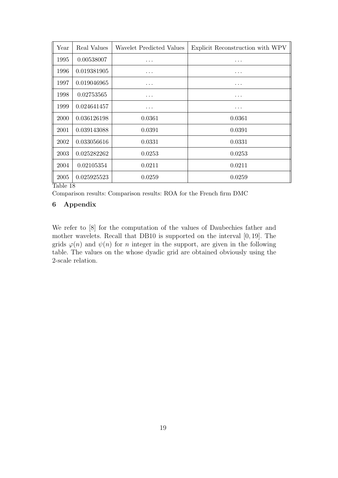| Year | Real Values | Wavelet Predicted Values | Explicit Reconstruction with WPV |
|------|-------------|--------------------------|----------------------------------|
| 1995 | 0.00538007  | .                        | $\cdots$                         |
| 1996 | 0.019381905 | .                        | $\cdots$                         |
| 1997 | 0.019046965 | .                        | .                                |
| 1998 | 0.02753565  | .                        | .                                |
| 1999 | 0.024641457 | .                        | .                                |
| 2000 | 0.036126198 | 0.0361                   | 0.0361                           |
| 2001 | 0.039143088 | 0.0391                   | 0.0391                           |
| 2002 | 0.033056616 | 0.0331                   | 0.0331                           |
| 2003 | 0.025282262 | 0.0253                   | 0.0253                           |
| 2004 | 0.02105354  | 0.0211                   | 0.0211                           |
| 2005 | 0.025925523 | 0.0259                   | 0.0259                           |

Comparison results: Comparison results: ROA for the French firm DMC

### 6 Appendix

We refer to  $[8]$  for the computation of the values of Daubechies father and mother wavelets. Recall that DB10 is supported on the interval [0, 19]. The grids  $\varphi(n)$  and  $\psi(n)$  for n integer in the support, are given in the following table. The values on the whose dyadic grid are obtained obviously using the 2-scale relation.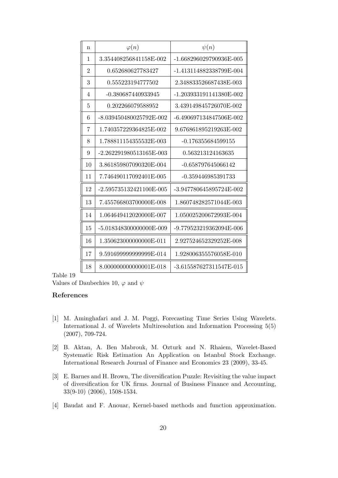| n              | $\varphi(n)$            | $\psi(n)$               |
|----------------|-------------------------|-------------------------|
| 1              | 3.354408256841158E-002  | -1.668296029790936E-005 |
| $\overline{2}$ | 0.652680627783427       | -1.413114882338799E-004 |
| 3              | 0.555223194777502       | 2.348833526687438E-003  |
| 4              | -0.380687440933945      | -1.203933191141380E-002 |
| 5              | 0.202266079588952       | 3.439149845726070E-002  |
| 6              | -8.039450480025792E-002 | -6.490697134847506E-002 |
| 7              | 1.740357229364825E-002  | 9.676861895219263E-002  |
| 8              | 1.788811154355532F-003  | $-0.176355684599155$    |
| 9              | -2.262291980513165E-003 | 0.563213124163635       |
| 10             | 3.861859807090320E-004  | -0.658797645066142      |
| 11             | 7.746490117092401E-005  | -0.359446985391733      |
| 12             | -2.595735132421100E-005 | -3.947780645895724E-002 |
| 13             | 7.455766803700000E-008  | 1.860748282571044E-003  |
| 14             | 1.064649412020000E-007  | 1.050025200672993E-004  |
| 15             | -5.018348300000000E-009 | -9.779523219362094E-006 |
| 16             | 1.350623000000000E-011  | 2.927524652329252E-008  |
| 17             | 9.591699999999999F-014  | 1.928006355576058E-010  |
| 18             | 8.000000000000001E-018  | -3.615587627311547E-015 |

Values of Daubechies 10,  $\varphi$  and  $\psi$ 

#### References

- [1] M. Aminghafari and J. M. Poggi, Forecasting Time Series Using Wavelets. International J. of Wavelets Multiresolution and Information Processing 5(5) (2007), 709-724.
- [2] B. Aktan, A. Ben Mabrouk, M. Ozturk and N. Rhaiem, Wavelet-Based Systematic Risk Estimation An Application on Istanbul Stock Exchange. International Research Journal of Finance and Economics 23 (2009), 33-45.
- [3] E. Barnes and H. Brown, The diversification Puzzle: Revisiting the value impact of diversification for UK firms. Journal of Business Finance and Accounting, 33(9-10) (2006), 1508-1534.
- [4] Baudat and F. Anouar, Kernel-based methods and function approximation.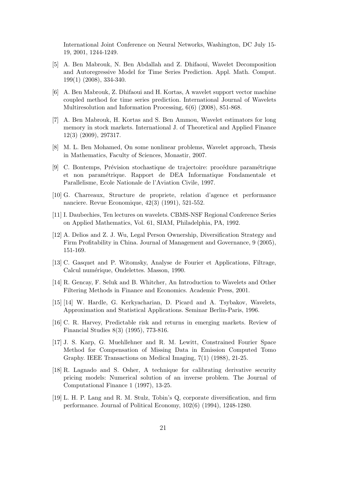International Joint Conference on Neural Networks, Washington, DC July 15- 19, 2001, 1244-1249.

- [5] A. Ben Mabrouk, N. Ben Abdallah and Z. Dhifaoui, Wavelet Decomposition and Autoregressive Model for Time Series Prediction. Appl. Math. Comput. 199(1) (2008), 334-340.
- [6] A. Ben Mabrouk, Z. Dhifaoui and H. Kortas, A wavelet support vector machine coupled method for time series prediction. International Journal of Wavelets Multiresolution and Information Processing, 6(6) (2008), 851-868.
- [7] A. Ben Mabrouk, H. Kortas and S. Ben Ammou, Wavelet estimators for long memory in stock markets. International J. of Theoretical and Applied Finance 12(3) (2009), 297317.
- [8] M. L. Ben Mohamed, On some nonlinear problems, Wavelet approach, Thesis in Mathematics, Faculty of Sciences, Monastir, 2007.
- [9] C. Bontemps, Prévision stochastique de trajectoire: procédure paramétrique et non param´etrique. Rapport de DEA Informatique Fondamentale et Parallelisme, Ecole Nationale de l'Aviation Civile, 1997.
- [10] G. Charreaux, Structure de propriete, relation d'agence et performance nanciere. Revue Economique, 42(3) (1991), 521-552.
- [11] I. Daubechies, Ten lectures on wavelets. CBMS-NSF Regional Conference Series on Applied Mathematics, Vol. 61, SIAM, Philadelphia, PA, 1992.
- [12] A. Delios and Z. J. Wu, Legal Person Ownership, Diversification Strategy and Firm Profitability in China. Journal of Management and Governance, 9 (2005), 151-169.
- [13] C. Gasquet and P. Witomsky, Analyse de Fourier et Applications, Filtrage, Calcul numérique, Ondelettes. Masson, 1990.
- [14] R. Gencay, F. Seluk and B. Whitcher, An Introduction to Wavelets and Other Filtering Methods in Finance and Economics. Academic Press, 2001.
- [15] [14] W. Hardle, G. Kerkyacharian, D. Picard and A. Tsybakov, Wavelets, Approximation and Statistical Applications. Seminar Berlin-Paris, 1996.
- [16] C. R. Harvey, Predictable risk and returns in emerging markets. Review of Financial Studies 8(3) (1995), 773-816.
- [17] J. S. Karp, G. Muehllehner and R. M. Lewitt, Constrained Fourier Space Method for Compensation of Missing Data in Emission Computed Tomo Graphy. IEEE Transactions on Medical Imaging, 7(1) (1988), 21-25.
- [18] R. Lagnado and S. Osher, A technique for calibrating derivative security pricing models: Numerical solution of an inverse problem. The Journal of Computational Finance 1 (1997), 13-25.
- [19] L. H. P. Lang and R. M. Stulz, Tobin's Q, corporate diversification, and firm performance. Journal of Political Economy, 102(6) (1994), 1248-1280.